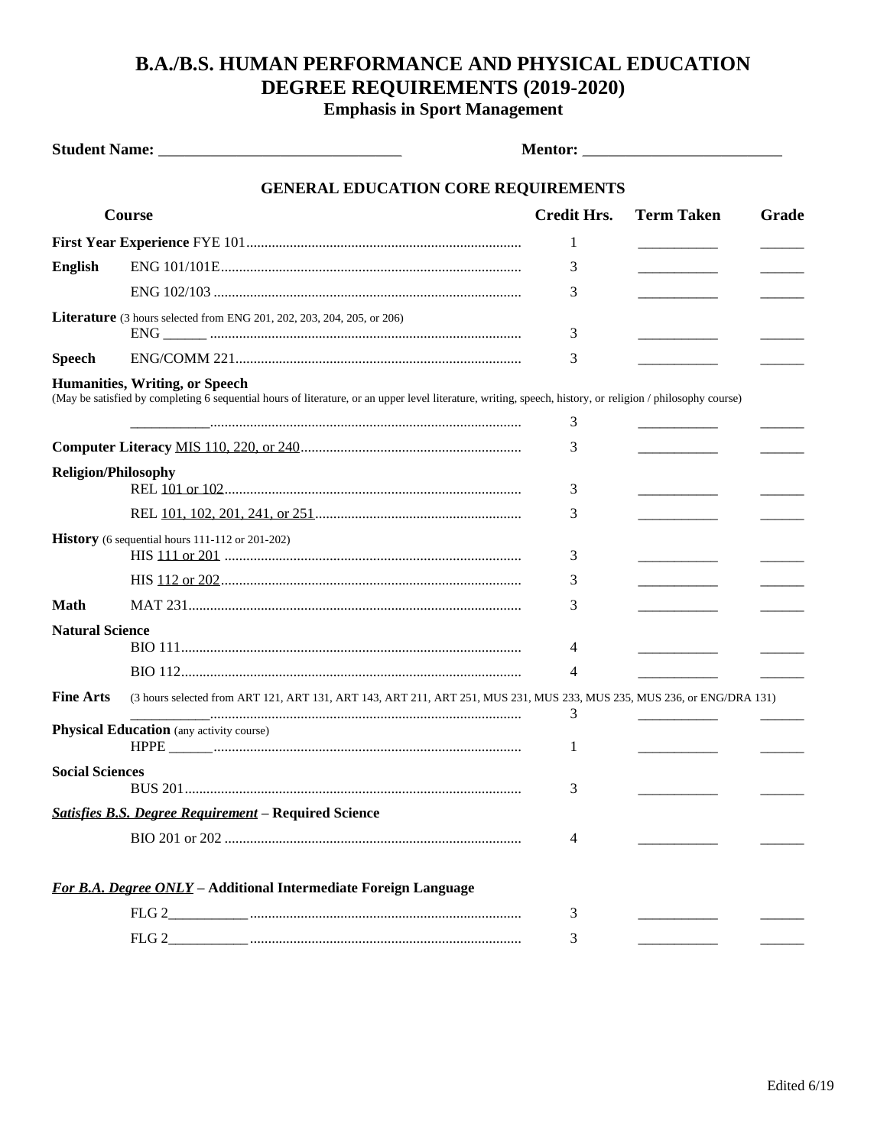## **B.A./B.S. HUMAN PERFORMANCE AND PHYSICAL EDUCATION** DEGREE REQUIREMENTS (2019-2020)

**Emphasis in Sport Management** 

|                                                                               | <b>GENERAL EDUCATION CORE REQUIREMENTS</b>                                                                                                                                                          |                    |                                   |       |
|-------------------------------------------------------------------------------|-----------------------------------------------------------------------------------------------------------------------------------------------------------------------------------------------------|--------------------|-----------------------------------|-------|
| Course                                                                        |                                                                                                                                                                                                     | <b>Credit Hrs.</b> | <b>Term Taken</b>                 | Grade |
|                                                                               |                                                                                                                                                                                                     | 1                  |                                   |       |
| <b>English</b>                                                                |                                                                                                                                                                                                     | 3                  |                                   |       |
|                                                                               |                                                                                                                                                                                                     | 3                  |                                   |       |
| <b>Literature</b> (3 hours selected from ENG 201, 202, 203, 204, 205, or 206) |                                                                                                                                                                                                     | 3                  |                                   |       |
| <b>Speech</b>                                                                 |                                                                                                                                                                                                     | 3                  |                                   |       |
|                                                                               | <b>Humanities, Writing, or Speech</b><br>(May be satisfied by completing 6 sequential hours of literature, or an upper level literature, writing, speech, history, or religion / philosophy course) | 3                  | <u> De Carlos de Carlos de Ca</u> |       |
|                                                                               |                                                                                                                                                                                                     | 3                  |                                   |       |
| <b>Religion/Philosophy</b>                                                    |                                                                                                                                                                                                     | 3                  |                                   |       |
|                                                                               |                                                                                                                                                                                                     | 3                  |                                   |       |
|                                                                               | <b>History</b> (6 sequential hours 111-112 or 201-202)                                                                                                                                              | 3                  |                                   |       |
|                                                                               |                                                                                                                                                                                                     | 3                  |                                   |       |
| <b>Math</b>                                                                   |                                                                                                                                                                                                     | 3                  |                                   |       |
| <b>Natural Science</b>                                                        |                                                                                                                                                                                                     | 4                  |                                   |       |
|                                                                               |                                                                                                                                                                                                     | 4                  |                                   |       |
| <b>Fine Arts</b>                                                              | (3 hours selected from ART 121, ART 131, ART 143, ART 211, ART 251, MUS 231, MUS 233, MUS 235, MUS 236, or ENG/DRA 131)<br><b>Physical Education</b> (any activity course)                          | 3                  |                                   |       |
|                                                                               |                                                                                                                                                                                                     | 1                  |                                   |       |
| <b>Social Sciences</b>                                                        |                                                                                                                                                                                                     | 3                  |                                   |       |
|                                                                               | <b>Satisfies B.S. Degree Requirement - Required Science</b>                                                                                                                                         |                    |                                   |       |
|                                                                               |                                                                                                                                                                                                     | 4                  |                                   |       |
|                                                                               | For B.A. Degree ONLY - Additional Intermediate Foreign Language                                                                                                                                     |                    |                                   |       |
|                                                                               |                                                                                                                                                                                                     | 3                  |                                   |       |
|                                                                               |                                                                                                                                                                                                     | 3                  |                                   |       |